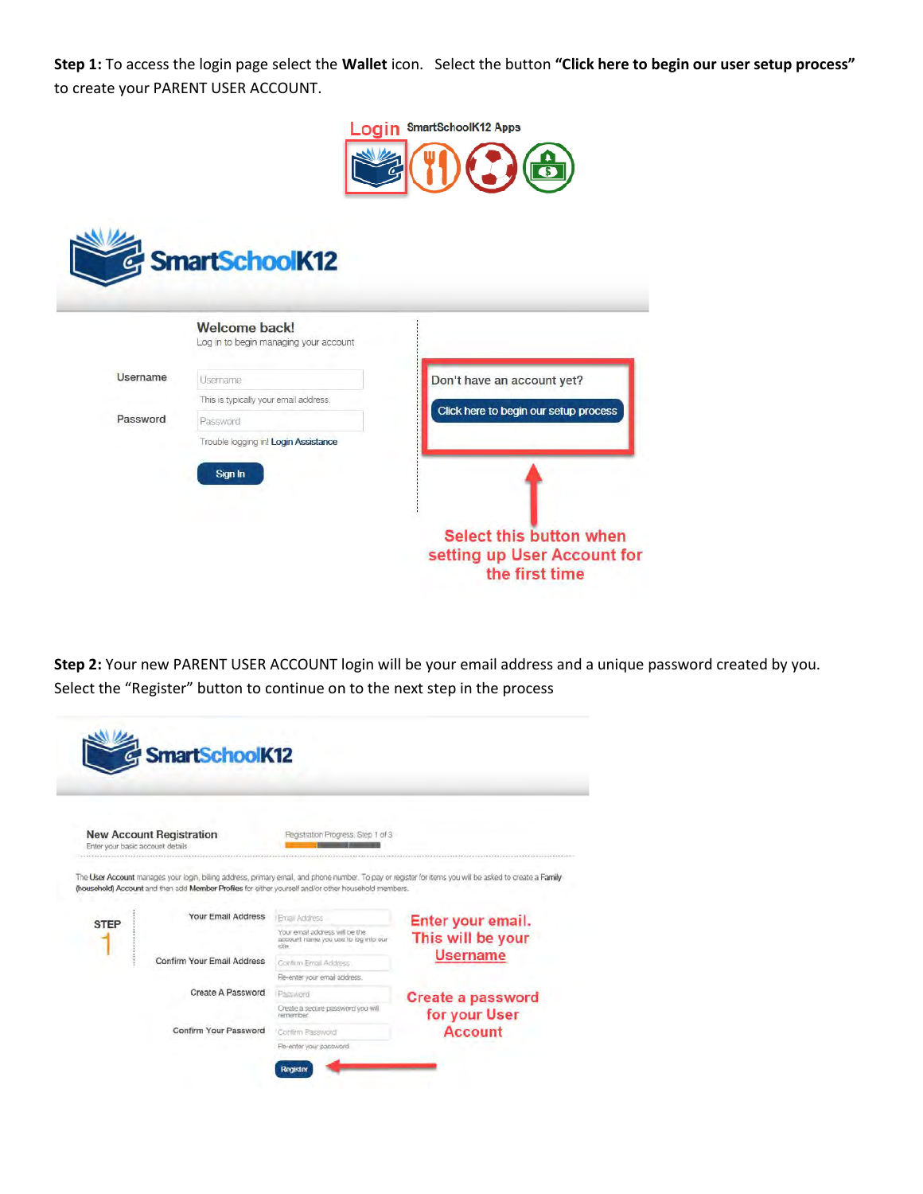Step 1: To access the login page select the Wallet icon. Select the button "Click here to begin our user setup process" to create your PARENT USER ACCOUNT.



|                 | Welcome back!<br>Log in to begin managing your account |                                       |
|-----------------|--------------------------------------------------------|---------------------------------------|
| <b>Username</b> | Usemame                                                | Don't have an account yet?            |
|                 | This is typically your email address.                  |                                       |
| Password        | Password                                               | Click here to begin our setup process |
|                 | Trouble logging in! Login Assistance<br>Sign In        |                                       |

**Step 2:** Your new PARENT USER ACCOUNT login will be your email address and a unique password created by you.<br>Select the "Register" button to continue on to the next step in the process Select the "Register" button to continue on to the next step in the process

| <b>New Account Registration</b><br>Enter your basic account details |                                                                                                      | Registration Progress: Step 1 of 3                                              |                                                                                                                                                          |
|---------------------------------------------------------------------|------------------------------------------------------------------------------------------------------|---------------------------------------------------------------------------------|----------------------------------------------------------------------------------------------------------------------------------------------------------|
|                                                                     | (household) Account and then add Member Profiles for either yourself and/or other household members. |                                                                                 | The User Account manages your login, billing address, primary email, and phone number. To pay or register for items you will be asked to create a Family |
|                                                                     |                                                                                                      |                                                                                 |                                                                                                                                                          |
|                                                                     | <b>Your Email Address</b>                                                                            | I Finall Address                                                                |                                                                                                                                                          |
| <b>STEP</b>                                                         |                                                                                                      | Your email address will be the<br>account name you use to log into our<br>citin | Enter your email.<br>This will be your                                                                                                                   |
|                                                                     | Confirm Your Email Address                                                                           | Continn Email Address                                                           | <b>Username</b>                                                                                                                                          |
|                                                                     |                                                                                                      | Re-enter your email address.                                                    |                                                                                                                                                          |
|                                                                     | Create A Password                                                                                    | Pacculord                                                                       |                                                                                                                                                          |
|                                                                     |                                                                                                      | Create a secure password you will                                               | <b>Create a password</b>                                                                                                                                 |
|                                                                     | Confirm Your Password                                                                                | remember<br>Confern Password                                                    | for your User<br><b>Account</b>                                                                                                                          |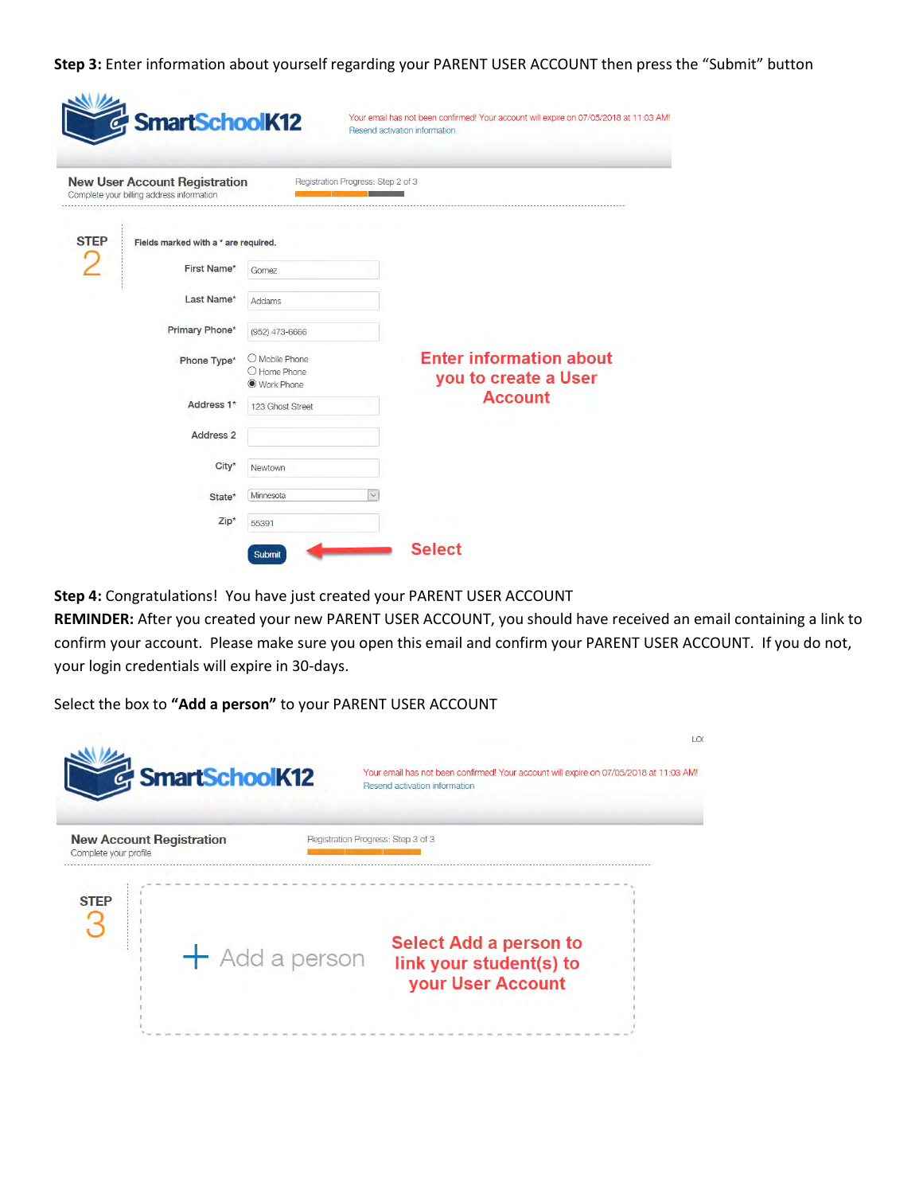Step 3: Enter information about yourself regarding your PARENT USER ACCOUNT then press the "Submit" button

|                        | <b>New User Account Registration</b><br>Complete your billing address information | Registration Progress: Step 2 of 3           |                                                        |
|------------------------|-----------------------------------------------------------------------------------|----------------------------------------------|--------------------------------------------------------|
| <b>STEP</b>            | Fields marked with a * are required.                                              |                                              |                                                        |
|                        | First Name*                                                                       | Gomez                                        |                                                        |
|                        | Last Name*                                                                        | Addams                                       |                                                        |
|                        | Primary Phone*                                                                    | (952) 473-6666                               |                                                        |
| Phone Type*            |                                                                                   | O Mobile Phone<br>O Home Phone<br>Work Phone | <b>Enter information about</b><br>you to create a User |
| Address <sub>1</sub> * |                                                                                   | 123 Ghost Street                             | <b>Account</b>                                         |
|                        | Address <sub>2</sub>                                                              |                                              |                                                        |
|                        | City*                                                                             | Newtown                                      |                                                        |
|                        | State*                                                                            | Minnesota<br>$\checkmark$                    |                                                        |

Step 4: Congratulations! You have just created your PARENT USER ACCOUNT

REMINDER: After you created your new PARENT USER ACCOUNT, you should have received an email containing a link to confirm your account. Please make sure you open this email and confirm your PARENT USER ACCOUNT. If you do not, your login credentials will expire in 30-days.

Select the box to "Add a person" to your PARENT USER ACCOUNT

| <b>&amp;</b> SmartSchoolK12                              | LOC<br>Your email has not been confirmed! Your account will expire on 07/05/2018 at 11:03 AM!<br>Resend activation information |
|----------------------------------------------------------|--------------------------------------------------------------------------------------------------------------------------------|
| <b>New Account Registration</b><br>Complete your profile | Registration Progress: Step 3 of 3                                                                                             |
| <b>STEP</b><br>$+$ Add a person                          | <b>Select Add a person to</b><br>link your student(s) to<br>your User Account                                                  |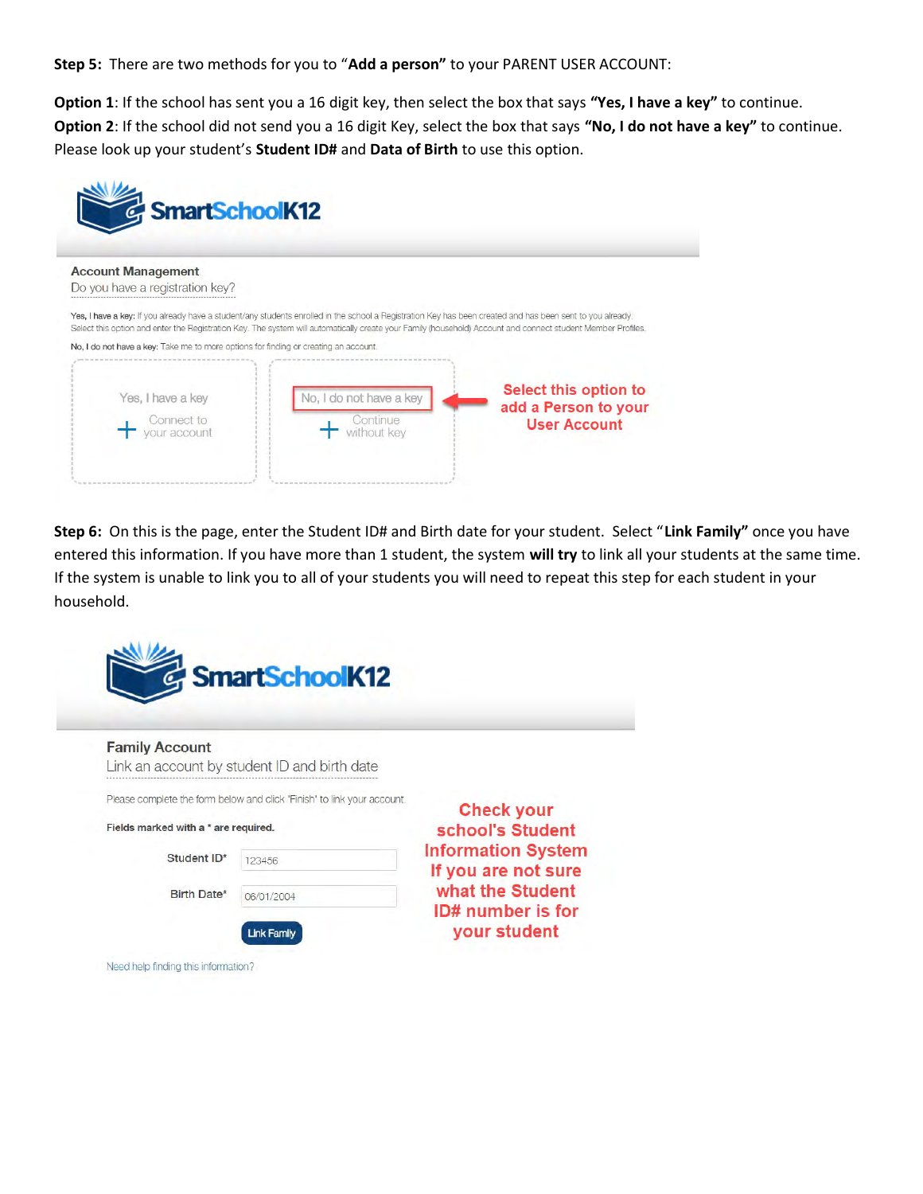Step 5: There are two methods for you to "Add a person" to your PARENT USER ACCOUNT:

Option 1: If the school has sent you a 16 digit key, then select the box that says "Yes, I have a key" to continue. Option 2: If the school did not send you a 16 digit Key, select the box that says "No, I do not have a key" to continue. Please look up your student's Student ID# and Data of Birth to use this option.



Step 6: On this is the page, enter the Student ID# and Birth date for your student. Select "Link Family" once you have entered this information. If you have more than 1 student, the system will try to link all your students at the same time. If the system is unable to link you to all of your students you will need to repeat this step for each student in your household.